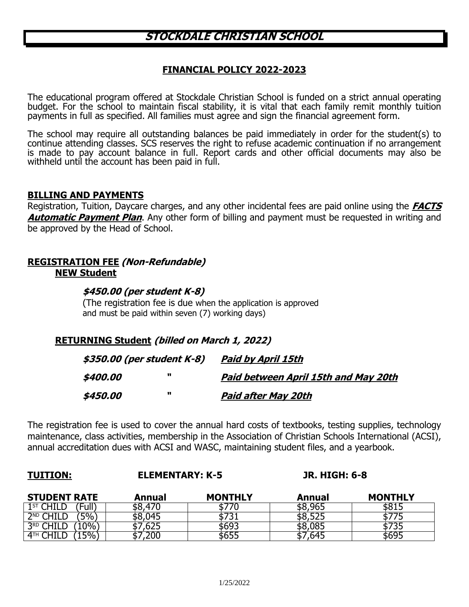# **STOCKDALE CHRISTIAN SCHOOL**

## **FINANCIAL POLICY 2022-2023**

The educational program offered at Stockdale Christian School is funded on a strict annual operating budget. For the school to maintain fiscal stability, it is vital that each family remit monthly tuition payments in full as specified. All families must agree and sign the financial agreement form.

The school may require all outstanding balances be paid immediately in order for the student(s) to continue attending classes. SCS reserves the right to refuse academic continuation if no arrangement is made to pay account balance in full. Report cards and other official documents may also be withheld until the account has been paid in full.

#### **BILLING AND PAYMENTS**

Registration, Tuition, Daycare charges, and any other incidental fees are paid online using the **FACTS Automatic Payment Plan**. Any other form of billing and payment must be requested in writing and be approved by the Head of School.

# **REGISTRATION FEE (Non-Refundable) NEW Student**

#### **\$450.00 (per student K-8)**

(The registration fee is due when the application is approved and must be paid within seven (7) working days)

# **RETURNING Student (billed on March 1, 2022)**

| \$350.00 (per student K-8) |   | Paid by April 15th                   |  |
|----------------------------|---|--------------------------------------|--|
| \$400.00                   | u | Paid between April 15th and May 20th |  |
| <i><b>\$450.00</b></i>     | u | <u>Paid after May 20th</u>           |  |

The registration fee is used to cover the annual hard costs of textbooks, testing supplies, technology maintenance, class activities, membership in the Association of Christian Schools International (ACSI), annual accreditation dues with ACSI and WASC, maintaining student files, and a yearbook.

# **TUITION: ELEMENTARY: K-5 JR. HIGH: 6-8**

| <b>STUDENT RATE</b>             | Annual            | <b>MONTHLY</b> | Annual       | <b>MONTHLY</b> |
|---------------------------------|-------------------|----------------|--------------|----------------|
| 1 <sup>ST</sup> CHILD<br>'Fulì, | <b>470</b><br>٬ە⊄ |                | 965,<br>\$8, | ∟טע            |
| $5\%$<br>$2^{ND}$ CHILD         | 045<br>. აბ,      | <u>הר</u>      | \$8          |                |
| $\overline{1\%}$ .<br>3RD CHILD | כגס,              | 5693           | \$8,085      | ככ וכ          |
| $5\%$ .<br>$4$ TH               | 200,              | \$655          | ,645         | \$695          |